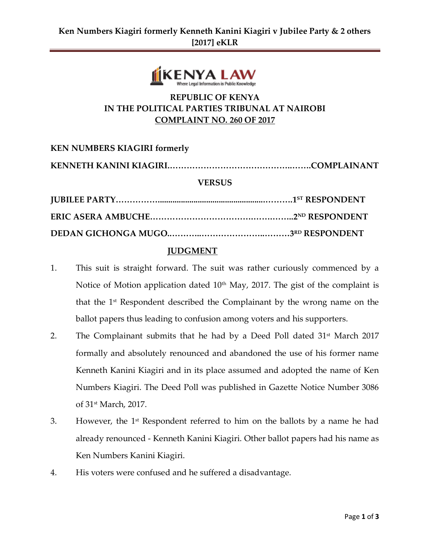

## **REPUBLIC OF KENYA IN THE POLITICAL PARTIES TRIBUNAL AT NAIROBI COMPLAINT NO. 260 OF 2017**

**KEN NUMBERS KIAGIRI formerly KENNETH KANINI KIAGIRI.……………………………………..…….COMPLAINANT VERSUS JUBILEE PARTY……………...................................................……….1 ST RESPONDENT ERIC ASERA AMBUCHE……………………………….…….……..2 ND RESPONDENT DEDAN GICHONGA MUGO..………..…………………..………3 RD RESPONDENT**

## **JUDGMENT**

- 1. This suit is straight forward. The suit was rather curiously commenced by a Notice of Motion application dated  $10<sup>th</sup>$  May, 2017. The gist of the complaint is that the 1st Respondent described the Complainant by the wrong name on the ballot papers thus leading to confusion among voters and his supporters.
- 2. The Complainant submits that he had by a Deed Poll dated  $31<sup>st</sup>$  March 2017 formally and absolutely renounced and abandoned the use of his former name Kenneth Kanini Kiagiri and in its place assumed and adopted the name of Ken Numbers Kiagiri. The Deed Poll was published in Gazette Notice Number 3086 of 31st March, 2017.
- 3. However, the  $1<sup>st</sup>$  Respondent referred to him on the ballots by a name he had already renounced - Kenneth Kanini Kiagiri. Other ballot papers had his name as Ken Numbers Kanini Kiagiri.
- 4. His voters were confused and he suffered a disadvantage.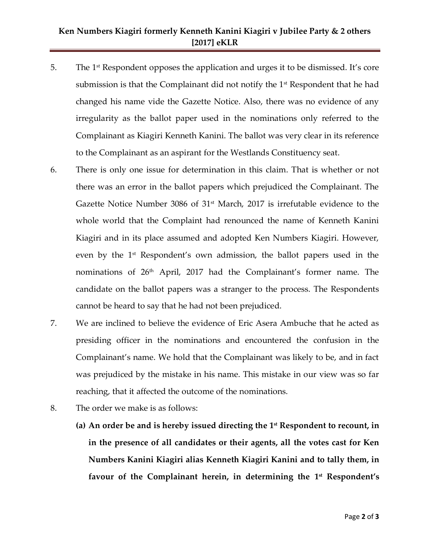## **Ken Numbers Kiagiri formerly Kenneth Kanini Kiagiri v Jubilee Party & 2 others [2017] eKLR**

- 5. The 1st Respondent opposes the application and urges it to be dismissed. It's core submission is that the Complainant did not notify the  $1<sup>st</sup>$  Respondent that he had changed his name vide the Gazette Notice. Also, there was no evidence of any irregularity as the ballot paper used in the nominations only referred to the Complainant as Kiagiri Kenneth Kanini. The ballot was very clear in its reference to the Complainant as an aspirant for the Westlands Constituency seat.
- 6. There is only one issue for determination in this claim. That is whether or not there was an error in the ballot papers which prejudiced the Complainant. The Gazette Notice Number 3086 of  $31<sup>st</sup>$  March, 2017 is irrefutable evidence to the whole world that the Complaint had renounced the name of Kenneth Kanini Kiagiri and in its place assumed and adopted Ken Numbers Kiagiri. However, even by the 1<sup>st</sup> Respondent's own admission, the ballot papers used in the nominations of 26<sup>th</sup> April, 2017 had the Complainant's former name. The candidate on the ballot papers was a stranger to the process. The Respondents cannot be heard to say that he had not been prejudiced.
- 7. We are inclined to believe the evidence of Eric Asera Ambuche that he acted as presiding officer in the nominations and encountered the confusion in the Complainant's name. We hold that the Complainant was likely to be, and in fact was prejudiced by the mistake in his name. This mistake in our view was so far reaching, that it affected the outcome of the nominations.
- 8. The order we make is as follows:
	- **(a) An order be and is hereby issued directing the 1st Respondent to recount, in in the presence of all candidates or their agents, all the votes cast for Ken Numbers Kanini Kiagiri alias Kenneth Kiagiri Kanini and to tally them, in favour of the Complainant herein, in determining the 1 st Respondent's**